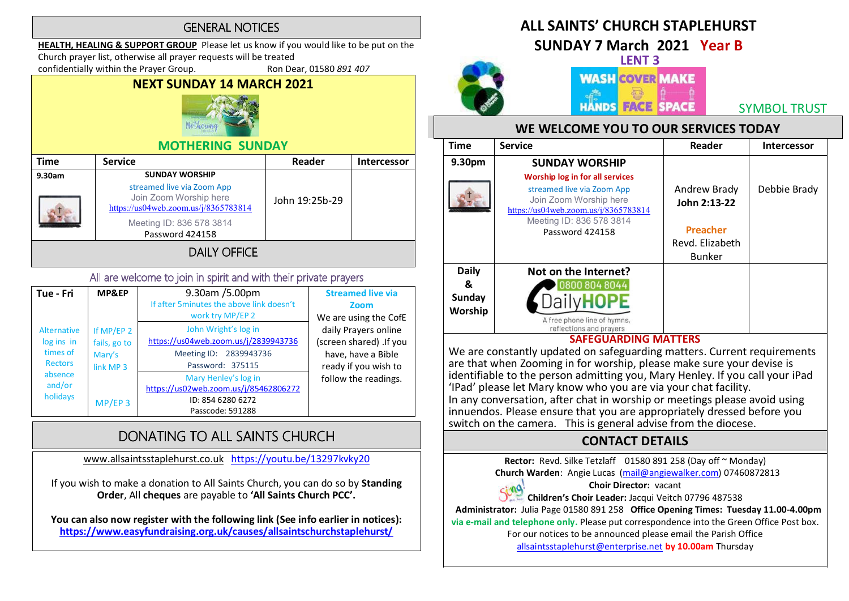#### **GENERAL NOTICES**

HEALTH, HEALING & SUPPORT GROUP Please let us know if you would like to be put on the

Church prayer list, otherwise all prayer requests will be treated

confidentially within the Prayer Group. Ron Dear, 01580 891 407

NEXT SUNDAY 14 MARCH 2021



#### MOTHERING SUNDAY

| <b>Time</b> | <b>Service</b>                                                                                                                                    | Reader         | <b>Intercessor</b> |
|-------------|---------------------------------------------------------------------------------------------------------------------------------------------------|----------------|--------------------|
| 9.30am      | <b>SUNDAY WORSHIP</b><br>streamed live via Zoom App<br>Join Zoom Worship here<br>https://us04web.zoom.us/j/8365783814<br>Meeting ID: 836 578 3814 | John 19:25b-29 |                    |
|             | Password 424158<br><b>DAILY OFFICE</b>                                                                                                            |                |                    |

#### All are welcome to join in spirit and with their private prayers

| Tue - Fri          | MP&EP                | 9.30am /5.00pm                            | <b>Streamed live via</b> |
|--------------------|----------------------|-------------------------------------------|--------------------------|
|                    |                      | If after 5 minutes the above link doesn't | Zoom                     |
|                    |                      | work try MP/EP 2                          | We are using the CofE    |
| <b>Alternative</b> | If MP/EP 2           | John Wright's log in                      | daily Prayers online     |
| log ins in         | fails, go to         | https://us04web.zoom.us/j/2839943736      | (screen shared) .If you  |
| times of           | Mary's               | Meeting ID: 2839943736                    | have, have a Bible       |
| <b>Rectors</b>     | link MP <sub>3</sub> | Password: 375115                          | ready if you wish to     |
| absence            |                      | Mary Henley's log in                      | follow the readings.     |
| and/or             |                      | https://us02web.zoom.us/j/85462806272     |                          |
| holidays           | $MP/EP$ 3            | ID: 854 6280 6272                         |                          |
|                    |                      | Passcode: 591288                          |                          |

## DONATING TO ALL SAINTS CHURCH

www.allsaintsstaplehurst.co.uk https://youtu.be/13297kvky20

If you wish to make a donation to All Saints Church, you can do so by Standing Order, All cheques are payable to 'All Saints Church PCC'.

You can also now register with the following link (See info earlier in notices): https://www.easyfundraising.org.uk/causes/allsaintschurchstaplehurst/

### ALL SAINTS' CHURCH STAPLEHURST

SUNDAY 7 March 2021 Year B



SYMBOL TRUST

#### WE WELCOME YOU TO OUR SERVICES TODAY

| <b>Time</b>                            | <b>Service</b>                                                                                                                                                                 | Reader                                                                              | <b>Intercessor</b> |
|----------------------------------------|--------------------------------------------------------------------------------------------------------------------------------------------------------------------------------|-------------------------------------------------------------------------------------|--------------------|
| 9.30pm                                 | <b>SUNDAY WORSHIP</b>                                                                                                                                                          |                                                                                     |                    |
|                                        | Worship log in for all services<br>streamed live via Zoom App<br>Join Zoom Worship here<br>https://us04web.zoom.us/j/8365783814<br>Meeting ID: 836 578 3814<br>Password 424158 | Andrew Brady<br>John 2:13-22<br><b>Preacher</b><br>Revd. Elizabeth<br><b>Bunker</b> | Debbie Brady       |
| <b>Daily</b><br>&<br>Sunday<br>Worship | Not on the Internet?<br>0800 804 8044<br>A free phone line of hymns,<br>reflections and prayers                                                                                |                                                                                     |                    |
|                                        | <b>SAFEGUARDING MATTERS</b>                                                                                                                                                    |                                                                                     |                    |

We are constantly updated on safeguarding matters. Current requirements are that when Zooming in for worship, please make sure your devise is identifiable to the person admitting you, Mary Henley. If you call your iPad<br>'IPad' please let Mary know who you are via your chat facility. In any conversation, after chat in worship or meetings please avoid using innuendos. Please ensure that you are appropriately dressed before you switch on the camera. This is general advise from the diocese.

#### CONTACT DETAILS

Rector: Revd. Silke Tetzlaff 01580 891 258 (Day off ~ Monday)

Church Warden: Angie Lucas (mail@angiewalker.com) 07460872813

#### Choir Director: vacant

sing Children's Choir Leader: Jacqui Veitch 07796 487538

 Administrator: Julia Page 01580 891 258 Office Opening Times: Tuesday 11.00-4.00pm via e-mail and telephone only. Please put correspondence into the Green Office Post box.

For our notices to be announced please email the Parish Office

allsaintsstaplehurst@enterprise.net by 10.00am Thursday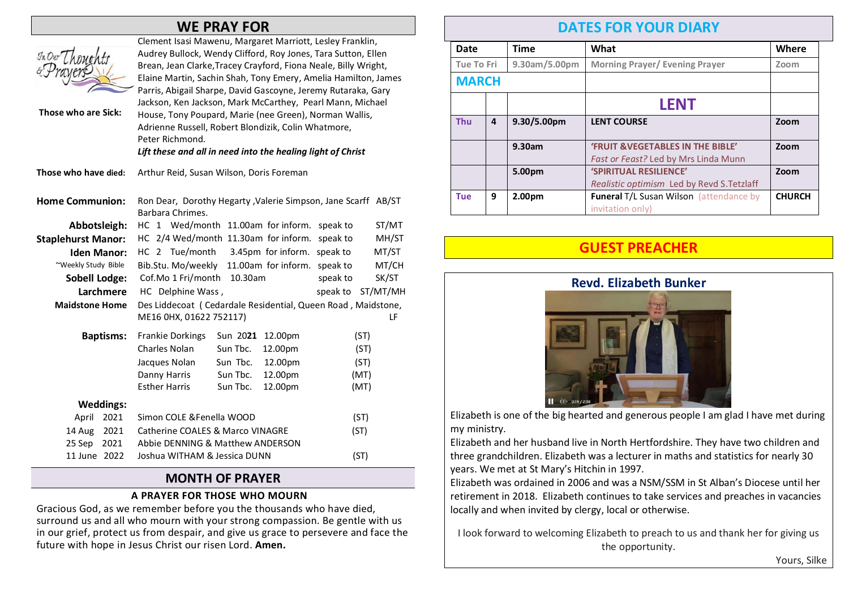#### WE PRAY FOR

| In Our L<br>Those who are Sick: | Clement Isasi Mawenu, Margaret Marriott, Lesley Franklin,<br>Audrey Bullock, Wendy Clifford, Roy Jones, Tara Sutton, Ellen<br>Brean, Jean Clarke, Tracey Crayford, Fiona Neale, Billy Wright,<br>Elaine Martin, Sachin Shah, Tony Emery, Amelia Hamilton, James<br>Parris, Abigail Sharpe, David Gascoyne, Jeremy Rutaraka, Gary<br>Jackson, Ken Jackson, Mark McCarthey, Pearl Mann, Michael<br>House, Tony Poupard, Marie (nee Green), Norman Wallis,<br>Adrienne Russell, Robert Blondizik, Colin Whatmore,<br>Peter Richmond.<br>Lift these and all in need into the healing light of Christ |  |  |
|---------------------------------|--------------------------------------------------------------------------------------------------------------------------------------------------------------------------------------------------------------------------------------------------------------------------------------------------------------------------------------------------------------------------------------------------------------------------------------------------------------------------------------------------------------------------------------------------------------------------------------------------|--|--|
| Those who have died:            | Arthur Reid, Susan Wilson, Doris Foreman                                                                                                                                                                                                                                                                                                                                                                                                                                                                                                                                                         |  |  |
| <b>Home Communion:</b>          | Ron Dear, Dorothy Hegarty, Valerie Simpson, Jane Scarff AB/ST<br>Barbara Chrimes.                                                                                                                                                                                                                                                                                                                                                                                                                                                                                                                |  |  |
| Abbotsleigh:                    | HC 1 Wed/month 11.00am for inform.<br>ST/MT<br>speak to                                                                                                                                                                                                                                                                                                                                                                                                                                                                                                                                          |  |  |
| <b>Staplehurst Manor:</b>       | HC 2/4 Wed/month 11.30am for inform.<br>speak to<br>MH/ST                                                                                                                                                                                                                                                                                                                                                                                                                                                                                                                                        |  |  |
| <b>Iden Manor:</b>              | HC 2 Tue/month<br>3.45pm for inform.<br>MT/ST<br>speak to                                                                                                                                                                                                                                                                                                                                                                                                                                                                                                                                        |  |  |
| ~Weekly Study Bible             | Bib.Stu. Mo/weekly 11.00am for inform.<br>MT/CH<br>speak to                                                                                                                                                                                                                                                                                                                                                                                                                                                                                                                                      |  |  |
| <b>Sobell Lodge:</b>            | Cof.Mo 1 Fri/month<br>10.30am<br>speak to<br>SK/ST                                                                                                                                                                                                                                                                                                                                                                                                                                                                                                                                               |  |  |
| Larchmere                       | ST/MT/MH<br>HC Delphine Wass,<br>speak to                                                                                                                                                                                                                                                                                                                                                                                                                                                                                                                                                        |  |  |
| <b>Maidstone Home</b>           | Des Liddecoat (Cedardale Residential, Queen Road, Maidstone,                                                                                                                                                                                                                                                                                                                                                                                                                                                                                                                                     |  |  |
|                                 | ME16 0HX, 01622 752117)<br>LF                                                                                                                                                                                                                                                                                                                                                                                                                                                                                                                                                                    |  |  |
| <b>Baptisms:</b>                | Sun 2021<br>(ST)<br><b>Frankie Dorkings</b><br>12.00pm                                                                                                                                                                                                                                                                                                                                                                                                                                                                                                                                           |  |  |
|                                 | Charles Nolan<br>Sun Tbc.<br>12.00pm<br>(ST)                                                                                                                                                                                                                                                                                                                                                                                                                                                                                                                                                     |  |  |
|                                 | Sun Tbc.<br>12.00pm<br>Jacques Nolan<br>(ST)                                                                                                                                                                                                                                                                                                                                                                                                                                                                                                                                                     |  |  |
|                                 | Danny Harris<br>Sun Tbc.<br>12.00pm<br>(MT)                                                                                                                                                                                                                                                                                                                                                                                                                                                                                                                                                      |  |  |
|                                 | <b>Esther Harris</b><br>Sun Tbc.<br>12.00pm<br>(MT)                                                                                                                                                                                                                                                                                                                                                                                                                                                                                                                                              |  |  |
| <b>Weddings:</b>                |                                                                                                                                                                                                                                                                                                                                                                                                                                                                                                                                                                                                  |  |  |
| 2021<br>April                   | Simon COLE & Fenella WOOD<br>(ST)                                                                                                                                                                                                                                                                                                                                                                                                                                                                                                                                                                |  |  |
| 14 Aug<br>2021                  | <b>Catherine COALES &amp; Marco VINAGRE</b><br>(ST)                                                                                                                                                                                                                                                                                                                                                                                                                                                                                                                                              |  |  |
| 25 Sep<br>2021                  | Abbie DENNING & Matthew ANDERSON                                                                                                                                                                                                                                                                                                                                                                                                                                                                                                                                                                 |  |  |
| 11 June 2022                    | (ST)<br>Joshua WITHAM & Jessica DUNN                                                                                                                                                                                                                                                                                                                                                                                                                                                                                                                                                             |  |  |
|                                 |                                                                                                                                                                                                                                                                                                                                                                                                                                                                                                                                                                                                  |  |  |

#### MONTH OF PRAYER

#### A PRAYER FOR THOSE WHO MOURN

Gracious God, as we remember before you the thousands who have died, surround us and all who mourn with your strong compassion. Be gentle with us in our grief, protect us from despair, and give us grace to persevere and face the future with hope in Jesus Christ our risen Lord. Amen.

### DATES FOR YOUR DIARY

| Date              |                | <b>Time</b>        | What                                                                                 | Where         |
|-------------------|----------------|--------------------|--------------------------------------------------------------------------------------|---------------|
| <b>Tue To Fri</b> |                | 9.30am/5.00pm      | <b>Morning Prayer/ Evening Prayer</b>                                                | Zoom          |
| <b>MARCH</b>      |                |                    |                                                                                      |               |
|                   |                |                    | <b>LENT</b>                                                                          |               |
| <b>Thu</b>        | $\overline{a}$ | 9.30/5.00pm        | <b>LENT COURSE</b>                                                                   | Zoom          |
|                   |                | 9.30am             | <b>'FRUIT &amp; VEGETABLES IN THE BIBLE'</b><br>Fast or Feast? Led by Mrs Linda Munn | Zoom          |
|                   |                | 5.00pm             | 'SPIRITUAL RESILIENCE'<br>Realistic optimism Led by Revd S. Tetzlaff                 | Zoom          |
| <b>Tue</b>        | 9              | 2.00 <sub>pm</sub> | <b>Funeral T/L Susan Wilson (attendance by</b><br>invitation only)                   | <b>CHURCH</b> |

#### GUEST PREACHER



Elizabeth is one of the big hearted and generous people I am glad I have met during my ministry.

Elizabeth and her husband live in North Hertfordshire. They have two children and three grandchildren. Elizabeth was a lecturer in maths and statistics for nearly 30 years. We met at St Mary's Hitchin in 1997.

Elizabeth was ordained in 2006 and was a NSM/SSM in St Alban's Diocese until her retirement in 2018. Elizabeth continues to take services and preaches in vacancies locally and when invited by clergy, local or otherwise.

I look forward to welcoming Elizabeth to preach to us and thank her for giving us the opportunity.

Yours, Silke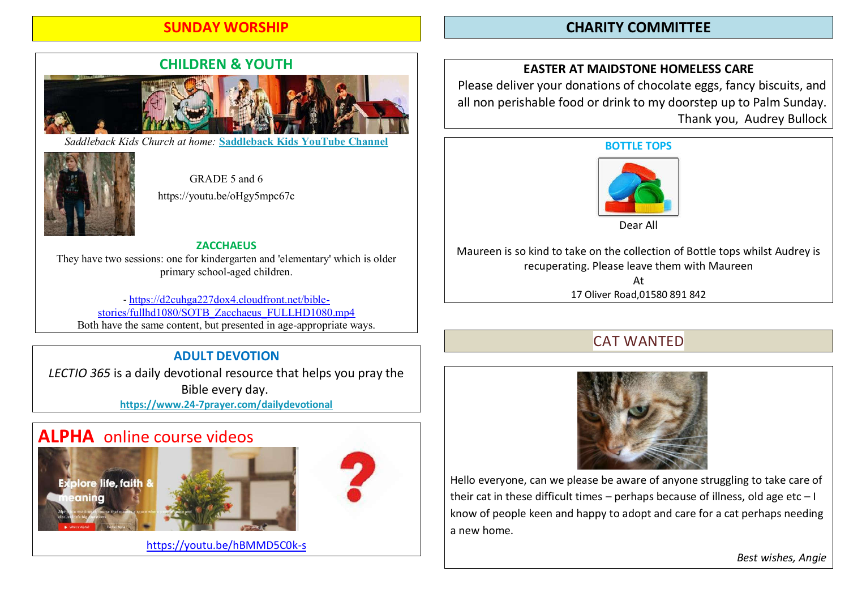#### SUNDAY WORSHIP

#### CHARITY COMMITTEE

# CHILDREN & YOUTH

*Saddleback Kids Church at home:* **Saddleback Kids YouTube Channel**



GRADE 5 and 6 https://youtu.be/oHgy5mpc67c

**ZACCHAEUS** They have two sessions: one for kindergarten and 'elementary' which is older primary school-aged children.

- https://d2cuhga227dox4.cloudfront.net/biblestories/fullhd1080/SOTB\_Zacchaeus\_FULLHD1080.mp4 Both have the same content, but presented in age-appropriate ways.

#### ADULT DEVOTION

LECTIO 365 is a daily devotional resource that helps you pray the Bible every day. https://www.24-7prayer.com/dailydevotional

## ALPHA online course videos







https://youtu.be/hBMMD5C0k-s

#### EASTER AT MAIDSTONE HOMELESS CARE

Please deliver your donations of chocolate eggs, fancy biscuits, and all non perishable food or drink to my doorstep up to Palm Sunday. Thank you, Audrey Bullock

#### BOTTLE TOPS



Dear All

Maureen is so kind to take on the collection of Bottle tops whilst Audrey is recuperating. Please leave them with Maureen At 17 Oliver Road,01580 891 842

### CAT WANTED



Hello everyone, can we please be aware of anyone struggling to take care of their cat in these difficult times – perhaps because of illness, old age etc  $-1$ know of people keen and happy to adopt and care for a cat perhaps needing a new home.

Best wishes, Angie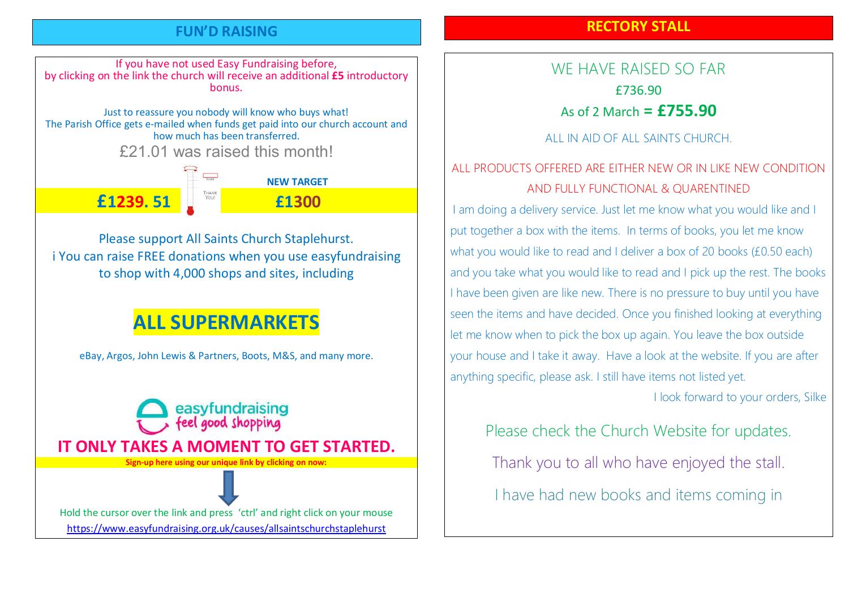#### FUN'D RAISING

#### RECTORY STALL

If you have not used Easy Fundraising before, by clicking on the link the church will receive an additional £5 introductory bonus. Just to reassure you nobody will know who buys what! The Parish Office gets e-mailed when funds get paid into our church account and how much has been transferred. £21.01 was raised this month!  $\overline{\phantom{a_{\text{upper}}}^{\text{upper}}}$  NFW TARGET £1239. 51 £1300

Please support All Saints Church Staplehurst. i You can raise FREE donations when you use easyfundraising to shop with 4,000 shops and sites, including

# ALL SUPERMARKETS

eBay, Argos, John Lewis & Partners, Boots, M&S, and many more.

easyfundraising feel good shopping IT ONLY TAKES A MOMENT TO GET STARTED. Sign-up here using our unique link by clicking on now: Hold the cursor over the link and press 'ctrl' and right click on your mouse https://www.easyfundraising.org.uk/causes/allsaintschurchstaplehurst

WE HAVE RAISED SO FAR £736.90 As of 2 March  $=$   $£755.90$ 

ALL IN AID OF ALL SAINTS CHURCH.

## ALL PRODUCTS OFFERED ARE EITHER NEW OR IN LIKE NEW CONDITION AND FULLY FUNCTIONAL & QUARENTINED

I am doing a delivery service. Just let me know what you would like and I put together a box with the items. In terms of books, you let me know what you would like to read and I deliver a box of 20 books (£0.50 each) and you take what you would like to read and I pick up the rest. The books I have been given are like new. There is no pressure to buy until you have seen the items and have decided. Once you finished looking at everything let me know when to pick the box up again. You leave the box outside your house and I take it away. Have a look at the website. If you are after anything specific, please ask. I still have items not listed yet.

I look forward to your orders, Silke

Please check the Church Website for updates.

Thank you to all who have enjoyed the stall.

I have had new books and items coming in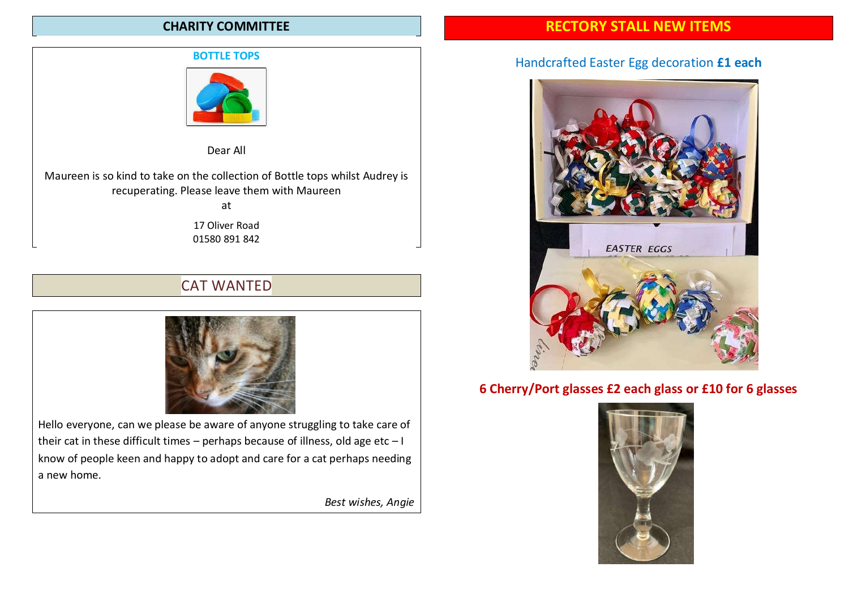#### CHARITY COMMITTEE

#### BOTTLE TOPS



Dear All

Maureen is so kind to take on the collection of Bottle tops whilst Audrey is recuperating. Please leave them with Maureen at

> 17 Oliver Road 01580 891 842

## CAT WANTED



Hello everyone, can we please be aware of anyone struggling to take care of their cat in these difficult times – perhaps because of illness, old age etc –  $I$ know of people keen and happy to adopt and care for a cat perhaps needing a new home.

Best wishes, Angie

#### RECTORY STALL NEW ITEMS

#### Handcrafted Easter Egg decoration £1 each



#### 6 Cherry/Port glasses £2 each glass or £10 for 6 glasses

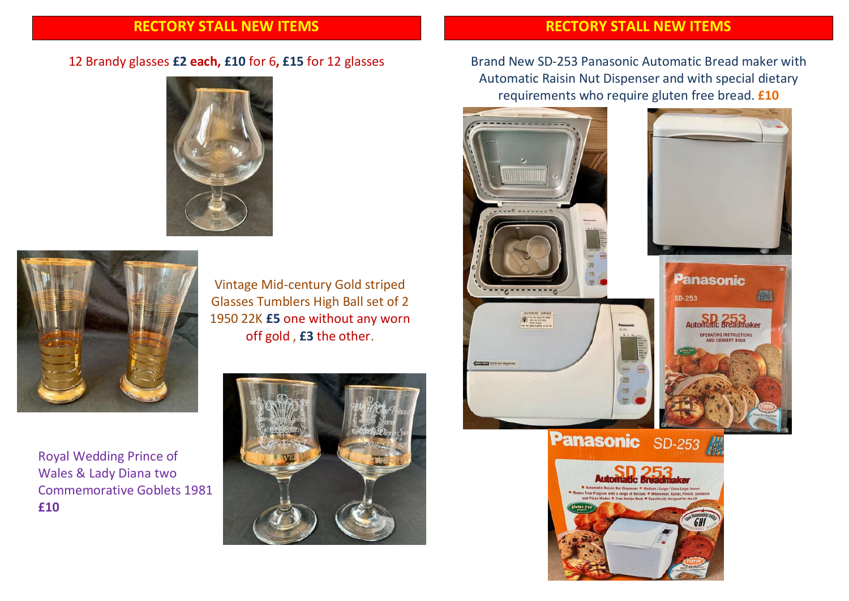#### RECTORY STALL NEW ITEMS

#### 12 Brandy glasses £2 each, £10 for 6, £15 for 12 glasses





Vintage Mid-century Gold striped Glasses Tumblers High Ball set of 2 1950 22K £5 one without any worn off gold , £3 the other.

Royal Wedding Prince of Wales & Lady Diana two Commemorative Goblets 1981 £10



#### RECTORY STALL NEW ITEMS

Brand New SD-253 Panasonic Automatic Bread maker with Automatic Raisin Nut Dispenser and with special dietary requirements who require gluten free bread. £10